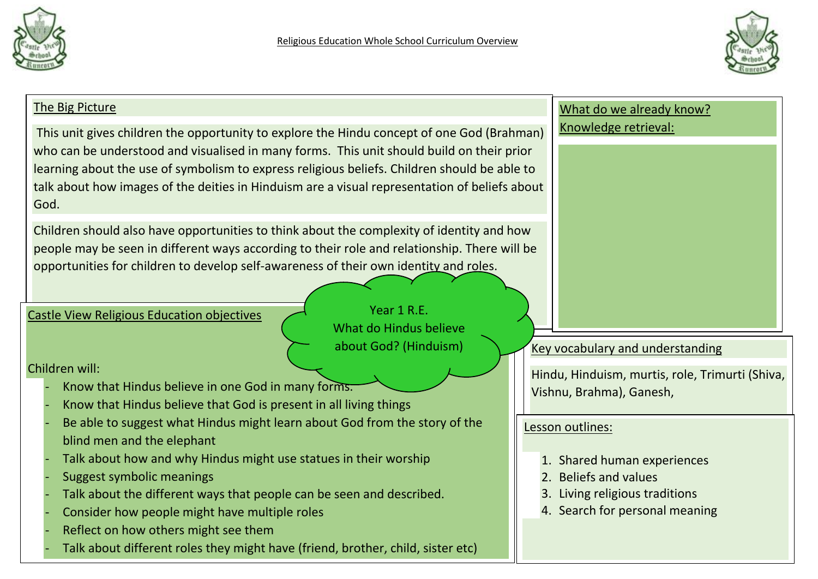



| The Big Picture                                                                                                                                                                                                                                                                                                                                                                                  | What do we already know?                             |
|--------------------------------------------------------------------------------------------------------------------------------------------------------------------------------------------------------------------------------------------------------------------------------------------------------------------------------------------------------------------------------------------------|------------------------------------------------------|
| This unit gives children the opportunity to explore the Hindu concept of one God (Brahman)<br>who can be understood and visualised in many forms. This unit should build on their prior<br>learning about the use of symbolism to express religious beliefs. Children should be able to<br>talk about how images of the deities in Hinduism are a visual representation of beliefs about<br>God. | Knowledge retrieval:                                 |
| Children should also have opportunities to think about the complexity of identity and how<br>people may be seen in different ways according to their role and relationship. There will be<br>opportunities for children to develop self-awareness of their own identity and roles.<br>Year 1 R.E.<br><b>Castle View Religious Education objectives</b><br>What do Hindus believe                 |                                                      |
| about God? (Hinduism)                                                                                                                                                                                                                                                                                                                                                                            | <b>Key vocabulary and understanding</b>              |
| Children will:                                                                                                                                                                                                                                                                                                                                                                                   | Hindu, Hinduism, murtis, role, Trimurti (Shiva,      |
| Know that Hindus believe in one God in many forms.                                                                                                                                                                                                                                                                                                                                               | Vishnu, Brahma), Ganesh,                             |
| Know that Hindus believe that God is present in all living things                                                                                                                                                                                                                                                                                                                                |                                                      |
| Be able to suggest what Hindus might learn about God from the story of the                                                                                                                                                                                                                                                                                                                       | Lesson outlines:                                     |
| blind men and the elephant                                                                                                                                                                                                                                                                                                                                                                       |                                                      |
| Talk about how and why Hindus might use statues in their worship                                                                                                                                                                                                                                                                                                                                 | 1. Shared human experiences<br>2. Beliefs and values |
| <b>Suggest symbolic meanings</b><br>Talk about the different ways that people can be seen and described.                                                                                                                                                                                                                                                                                         | 3. Living religious traditions                       |
| Consider how people might have multiple roles                                                                                                                                                                                                                                                                                                                                                    | 4. Search for personal meaning                       |
| Reflect on how others might see them                                                                                                                                                                                                                                                                                                                                                             |                                                      |
| Talk about different roles they might have (friend, brother, child, sister etc)                                                                                                                                                                                                                                                                                                                  |                                                      |
|                                                                                                                                                                                                                                                                                                                                                                                                  |                                                      |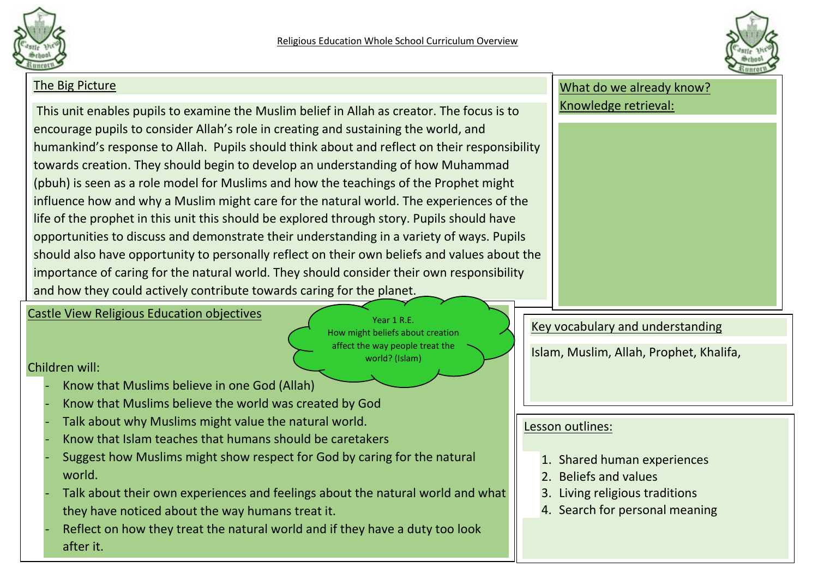



## The Big Picture This unit enables pupils to examine the Muslim belief in Allah as creator. The focus is to encourage pupils to consider Allah's role in creating and sustaining the world, and humankind's response to Allah. Pupils should think about and reflect on their responsibility towards creation. They should begin to develop an understanding of how Muhammad (pbuh) is seen as a role model for Muslims and how the teachings of the Prophet might influence how and why a Muslim might care for the natural world. The experiences of the life of the prophet in this unit this should be explored through story. Pupils should have opportunities to discuss and demonstrate their understanding in a variety of ways. Pupils should also have opportunity to personally reflect on their own beliefs and values about the importance of caring for the natural world. They should consider their own responsibility and how they could actively contribute towards caring for the planet. What do we already know? Knowledge retrieval: Key vocabulary and understanding Islam, Muslim, Allah, Prophet, Khalifa, Castle View Religious Education objectives Children will: - Know that Muslims believe in one God (Allah) Know that Muslims believe the world was created by God Talk about why Muslims might value the natural world. - Know that Islam teaches that humans should be caretakers Suggest how Muslims might show respect for God by caring for the natural world. Talk about their own experiences and feelings about the natural world and what Lesson outlines: 1. Shared human experiences 2. Beliefs and values 3. Living religious traditions 4. Search for personal meaning Year 1 R F How might beliefs about creation affect the way people treat the world? (Islam)

- they have noticed about the way humans treat it.
- Reflect on how they treat the natural world and if they have a duty too look after it.